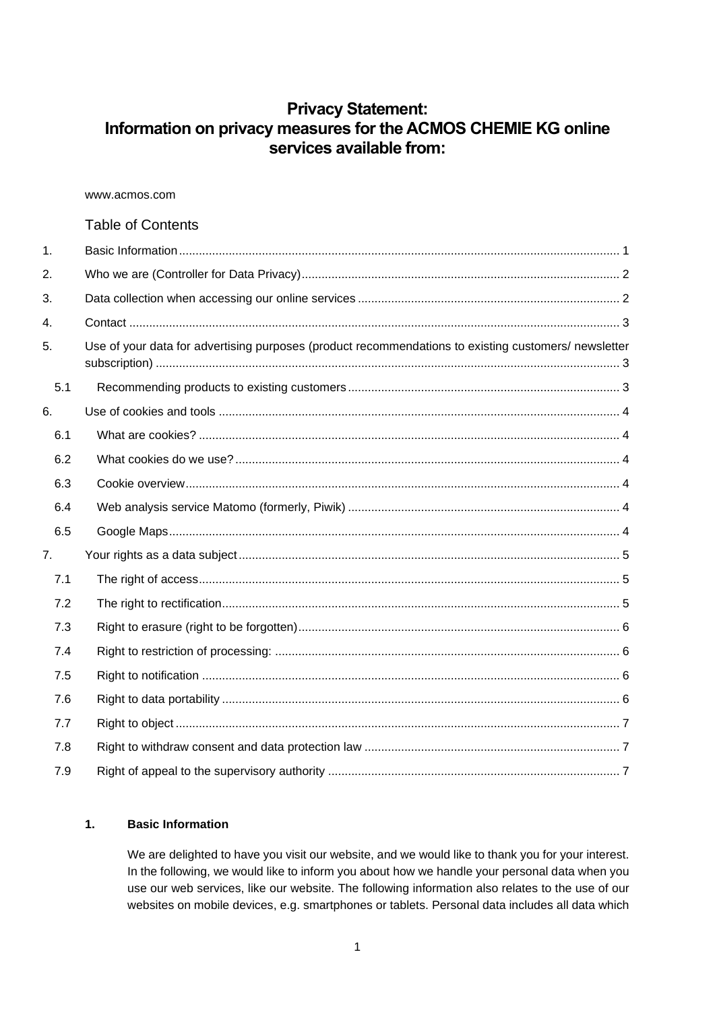# **Privacy Statement: Information on privacy measures for the ACMOS CHEMIE KG online services available from:**

www.acmos.com

# Table of Contents

| 1.  |                                                                                                      |  |  |  |
|-----|------------------------------------------------------------------------------------------------------|--|--|--|
| 2.  |                                                                                                      |  |  |  |
| 3.  |                                                                                                      |  |  |  |
| 4.  |                                                                                                      |  |  |  |
| 5.  | Use of your data for advertising purposes (product recommendations to existing customers/ newsletter |  |  |  |
| 5.1 |                                                                                                      |  |  |  |
| 6.  |                                                                                                      |  |  |  |
| 6.1 |                                                                                                      |  |  |  |
| 6.2 |                                                                                                      |  |  |  |
| 6.3 |                                                                                                      |  |  |  |
| 6.4 |                                                                                                      |  |  |  |
| 6.5 |                                                                                                      |  |  |  |
| 7.  |                                                                                                      |  |  |  |
| 7.1 |                                                                                                      |  |  |  |
| 7.2 |                                                                                                      |  |  |  |
| 7.3 |                                                                                                      |  |  |  |
| 7.4 |                                                                                                      |  |  |  |
| 7.5 |                                                                                                      |  |  |  |
| 7.6 |                                                                                                      |  |  |  |
| 7.7 |                                                                                                      |  |  |  |
| 7.8 |                                                                                                      |  |  |  |
| 7.9 |                                                                                                      |  |  |  |

# <span id="page-0-0"></span>**1. Basic Information**

We are delighted to have you visit our website, and we would like to thank you for your interest. In the following, we would like to inform you about how we handle your personal data when you use our web services, like our website. The following information also relates to the use of our websites on mobile devices, e.g. smartphones or tablets. Personal data includes all data which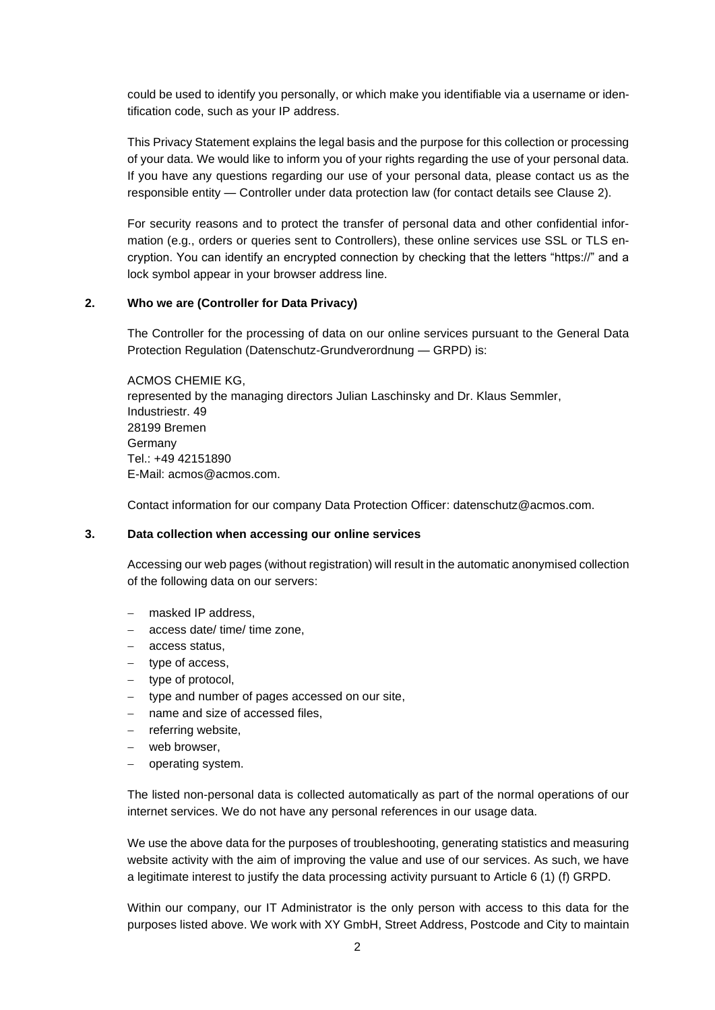could be used to identify you personally, or which make you identifiable via a username or identification code, such as your IP address.

This Privacy Statement explains the legal basis and the purpose for this collection or processing of your data. We would like to inform you of your rights regarding the use of your personal data. If you have any questions regarding our use of your personal data, please contact us as the responsible entity — Controller under data protection law (for contact details see Clause 2).

For security reasons and to protect the transfer of personal data and other confidential information (e.g., orders or queries sent to Controllers), these online services use SSL or TLS encryption. You can identify an encrypted connection by checking that the letters "https://" and a lock symbol appear in your browser address line.

#### <span id="page-1-0"></span>**2. Who we are (Controller for Data Privacy)**

The Controller for the processing of data on our online services pursuant to the General Data Protection Regulation (Datenschutz-Grundverordnung — GRPD) is:

ACMOS CHEMIE KG, represented by the managing directors Julian Laschinsky and Dr. Klaus Semmler, Industriestr. 49 28199 Bremen Germany Tel.: +49 42151890 E-Mail: acmos@acmos.com.

Contact information for our company Data Protection Officer: datenschutz@acmos.com.

#### <span id="page-1-1"></span>**3. Data collection when accessing our online services**

Accessing our web pages (without registration) will result in the automatic anonymised collection of the following data on our servers:

- masked IP address.
- − access date/ time/ time zone,
- − access status,
- − type of access,
- − type of protocol,
- − type and number of pages accessed on our site,
- name and size of accessed files,
- − referring website,
- web browser,
- − operating system.

The listed non-personal data is collected automatically as part of the normal operations of our internet services. We do not have any personal references in our usage data.

We use the above data for the purposes of troubleshooting, generating statistics and measuring website activity with the aim of improving the value and use of our services. As such, we have a legitimate interest to justify the data processing activity pursuant to Article 6 (1) (f) GRPD.

Within our company, our IT Administrator is the only person with access to this data for the purposes listed above. We work with XY GmbH, Street Address, Postcode and City to maintain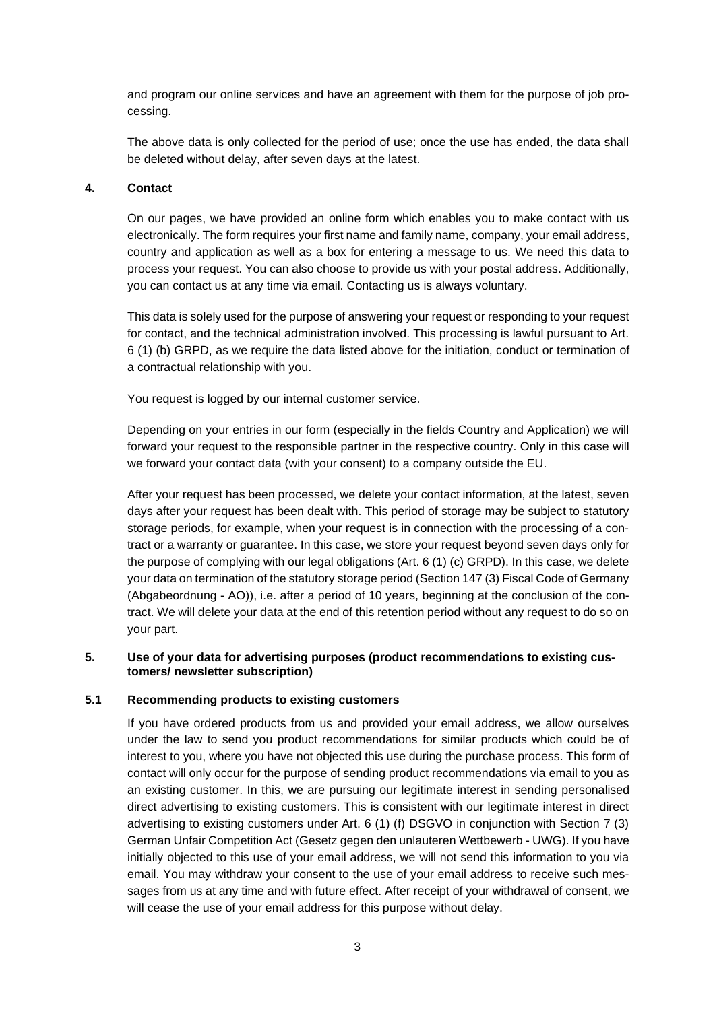and program our online services and have an agreement with them for the purpose of job processing.

The above data is only collected for the period of use; once the use has ended, the data shall be deleted without delay, after seven days at the latest.

#### <span id="page-2-0"></span>**4. Contact**

On our pages, we have provided an online form which enables you to make contact with us electronically. The form requires your first name and family name, company, your email address, country and application as well as a box for entering a message to us. We need this data to process your request. You can also choose to provide us with your postal address. Additionally, you can contact us at any time via email. Contacting us is always voluntary.

This data is solely used for the purpose of answering your request or responding to your request for contact, and the technical administration involved. This processing is lawful pursuant to Art. 6 (1) (b) GRPD, as we require the data listed above for the initiation, conduct or termination of a contractual relationship with you.

You request is logged by our internal customer service.

Depending on your entries in our form (especially in the fields Country and Application) we will forward your request to the responsible partner in the respective country. Only in this case will we forward your contact data (with your consent) to a company outside the EU.

After your request has been processed, we delete your contact information, at the latest, seven days after your request has been dealt with. This period of storage may be subject to statutory storage periods, for example, when your request is in connection with the processing of a contract or a warranty or guarantee. In this case, we store your request beyond seven days only for the purpose of complying with our legal obligations (Art. 6 (1) (c) GRPD). In this case, we delete your data on termination of the statutory storage period (Section 147 (3) Fiscal Code of Germany (Abgabeordnung - AO)), i.e. after a period of 10 years, beginning at the conclusion of the contract. We will delete your data at the end of this retention period without any request to do so on your part.

#### <span id="page-2-1"></span>**5. Use of your data for advertising purposes (product recommendations to existing customers/ newsletter subscription)**

## <span id="page-2-2"></span>**5.1 Recommending products to existing customers**

If you have ordered products from us and provided your email address, we allow ourselves under the law to send you product recommendations for similar products which could be of interest to you, where you have not objected this use during the purchase process. This form of contact will only occur for the purpose of sending product recommendations via email to you as an existing customer. In this, we are pursuing our legitimate interest in sending personalised direct advertising to existing customers. This is consistent with our legitimate interest in direct advertising to existing customers under Art. 6 (1) (f) DSGVO in conjunction with Section 7 (3) German Unfair Competition Act (Gesetz gegen den unlauteren Wettbewerb - UWG). If you have initially objected to this use of your email address, we will not send this information to you via email. You may withdraw your consent to the use of your email address to receive such messages from us at any time and with future effect. After receipt of your withdrawal of consent, we will cease the use of your email address for this purpose without delay.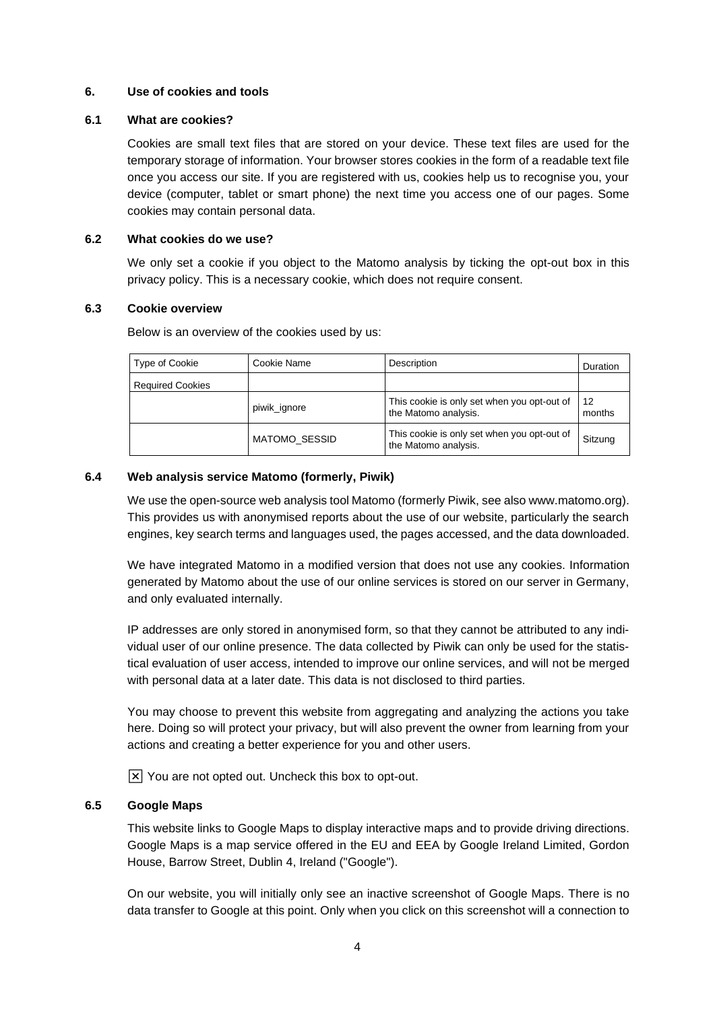## <span id="page-3-0"></span>**6. Use of cookies and tools**

#### <span id="page-3-1"></span>**6.1 What are cookies?**

Cookies are small text files that are stored on your device. These text files are used for the temporary storage of information. Your browser stores cookies in the form of a readable text file once you access our site. If you are registered with us, cookies help us to recognise you, your device (computer, tablet or smart phone) the next time you access one of our pages. Some cookies may contain personal data.

#### <span id="page-3-2"></span>**6.2 What cookies do we use?**

We only set a cookie if you object to the Matomo analysis by ticking the opt-out box in this privacy policy. This is a necessary cookie, which does not require consent.

#### <span id="page-3-3"></span>**6.3 Cookie overview**

Below is an overview of the cookies used by us:

| Type of Cookie          | Cookie Name          | Description                                                         | Duration     |
|-------------------------|----------------------|---------------------------------------------------------------------|--------------|
| <b>Required Cookies</b> |                      |                                                                     |              |
|                         | piwik_ignore         | This cookie is only set when you opt-out of<br>the Matomo analysis. | 12<br>months |
|                         | <b>MATOMO SESSID</b> | This cookie is only set when you opt-out of<br>the Matomo analysis. | Sitzung      |

## <span id="page-3-4"></span>**6.4 Web analysis service Matomo (formerly, Piwik)**

We use the open-source web analysis tool Matomo (formerly Piwik, see also www.matomo.org). This provides us with anonymised reports about the use of our website, particularly the search engines, key search terms and languages used, the pages accessed, and the data downloaded.

We have integrated Matomo in a modified version that does not use any cookies. Information generated by Matomo about the use of our online services is stored on our server in Germany, and only evaluated internally.

IP addresses are only stored in anonymised form, so that they cannot be attributed to any individual user of our online presence. The data collected by Piwik can only be used for the statistical evaluation of user access, intended to improve our online services, and will not be merged with personal data at a later date. This data is not disclosed to third parties.

You may choose to prevent this website from aggregating and analyzing the actions you take here. Doing so will protect your privacy, but will also prevent the owner from learning from your actions and creating a better experience for you and other users.

 $[\overline{x}]$  You are not opted out. Uncheck this box to opt-out.

## <span id="page-3-5"></span>**6.5 Google Maps**

This website links to Google Maps to display interactive maps and to provide driving directions. Google Maps is a map service offered in the EU and EEA by Google Ireland Limited, Gordon House, Barrow Street, Dublin 4, Ireland ("Google").

On our website, you will initially only see an inactive screenshot of Google Maps. There is no data transfer to Google at this point. Only when you click on this screenshot will a connection to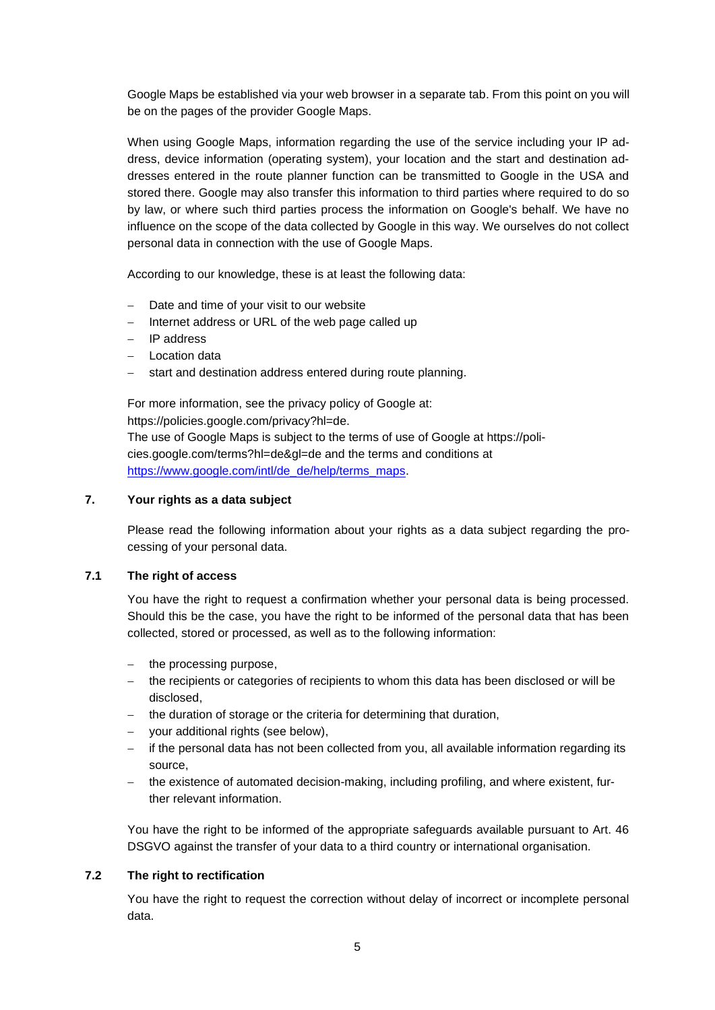Google Maps be established via your web browser in a separate tab. From this point on you will be on the pages of the provider Google Maps.

When using Google Maps, information regarding the use of the service including your IP address, device information (operating system), your location and the start and destination addresses entered in the route planner function can be transmitted to Google in the USA and stored there. Google may also transfer this information to third parties where required to do so by law, or where such third parties process the information on Google's behalf. We have no influence on the scope of the data collected by Google in this way. We ourselves do not collect personal data in connection with the use of Google Maps.

According to our knowledge, these is at least the following data:

- − Date and time of your visit to our website
- − Internet address or URL of the web page called up
- − IP address
- − Location data
- − start and destination address entered during route planning.

For more information, see the privacy policy of Google at: https://policies.google.com/privacy?hl=de.

The use of Google Maps is subject to the terms of use of Google at https://policies.google.com/terms?hl=de&gl=de and the terms and conditions at [https://www.google.com/intl/de\\_de/help/terms\\_maps.](https://www.google.com/intl/de_de/help/terms_maps)

## <span id="page-4-0"></span>**7. Your rights as a data subject**

Please read the following information about your rights as a data subject regarding the processing of your personal data.

#### <span id="page-4-1"></span>**7.1 The right of access**

You have the right to request a confirmation whether your personal data is being processed. Should this be the case, you have the right to be informed of the personal data that has been collected, stored or processed, as well as to the following information:

- − the processing purpose,
- the recipients or categories of recipients to whom this data has been disclosed or will be disclosed,
- the duration of storage or the criteria for determining that duration,
- − your additional rights (see below),
- − if the personal data has not been collected from you, all available information regarding its source,
- the existence of automated decision-making, including profiling, and where existent, further relevant information.

You have the right to be informed of the appropriate safeguards available pursuant to Art. 46 DSGVO against the transfer of your data to a third country or international organisation.

#### <span id="page-4-2"></span>**7.2 The right to rectification**

You have the right to request the correction without delay of incorrect or incomplete personal data.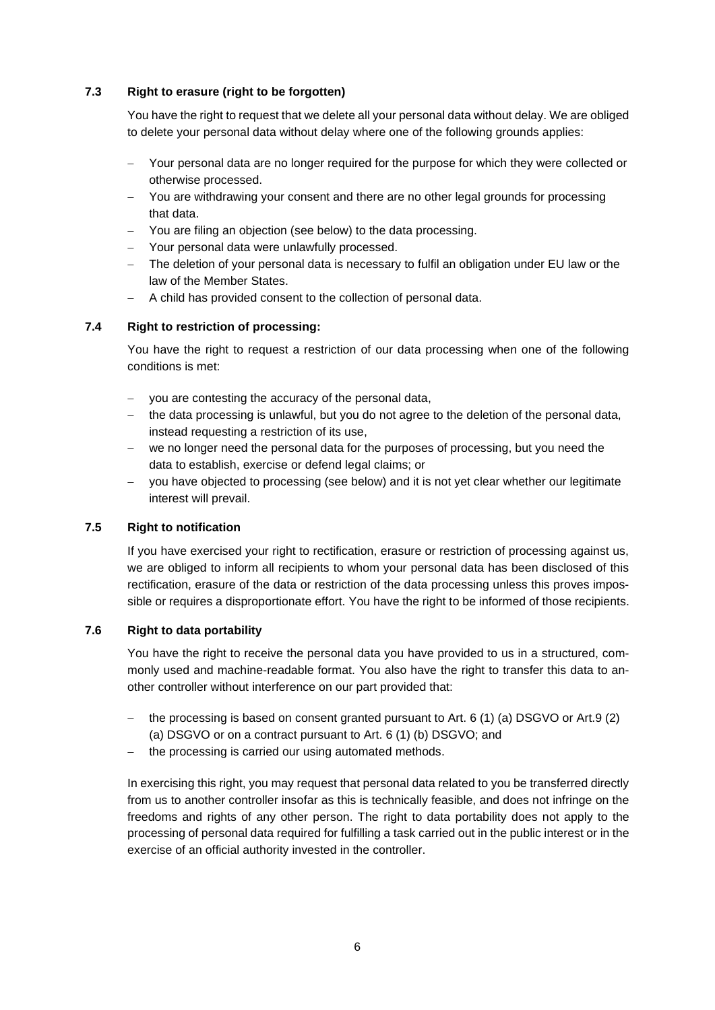# <span id="page-5-0"></span>**7.3 Right to erasure (right to be forgotten)**

You have the right to request that we delete all your personal data without delay. We are obliged to delete your personal data without delay where one of the following grounds applies:

- Your personal data are no longer required for the purpose for which they were collected or otherwise processed.
- You are withdrawing your consent and there are no other legal grounds for processing that data.
- − You are filing an objection (see below) to the data processing.
- − Your personal data were unlawfully processed.
- − The deletion of your personal data is necessary to fulfil an obligation under EU law or the law of the Member States.
- − A child has provided consent to the collection of personal data.

## <span id="page-5-1"></span>**7.4 Right to restriction of processing:**

You have the right to request a restriction of our data processing when one of the following conditions is met:

- you are contesting the accuracy of the personal data,
- − the data processing is unlawful, but you do not agree to the deletion of the personal data, instead requesting a restriction of its use,
- − we no longer need the personal data for the purposes of processing, but you need the data to establish, exercise or defend legal claims; or
- − you have objected to processing (see below) and it is not yet clear whether our legitimate interest will prevail.

## <span id="page-5-2"></span>**7.5 Right to notification**

If you have exercised your right to rectification, erasure or restriction of processing against us, we are obliged to inform all recipients to whom your personal data has been disclosed of this rectification, erasure of the data or restriction of the data processing unless this proves impossible or requires a disproportionate effort. You have the right to be informed of those recipients.

## <span id="page-5-3"></span>**7.6 Right to data portability**

You have the right to receive the personal data you have provided to us in a structured, commonly used and machine-readable format. You also have the right to transfer this data to another controller without interference on our part provided that:

- − the processing is based on consent granted pursuant to Art. 6 (1) (a) DSGVO or Art.9 (2) (a) DSGVO or on a contract pursuant to Art. 6 (1) (b) DSGVO; and
- the processing is carried our using automated methods.

In exercising this right, you may request that personal data related to you be transferred directly from us to another controller insofar as this is technically feasible, and does not infringe on the freedoms and rights of any other person. The right to data portability does not apply to the processing of personal data required for fulfilling a task carried out in the public interest or in the exercise of an official authority invested in the controller.